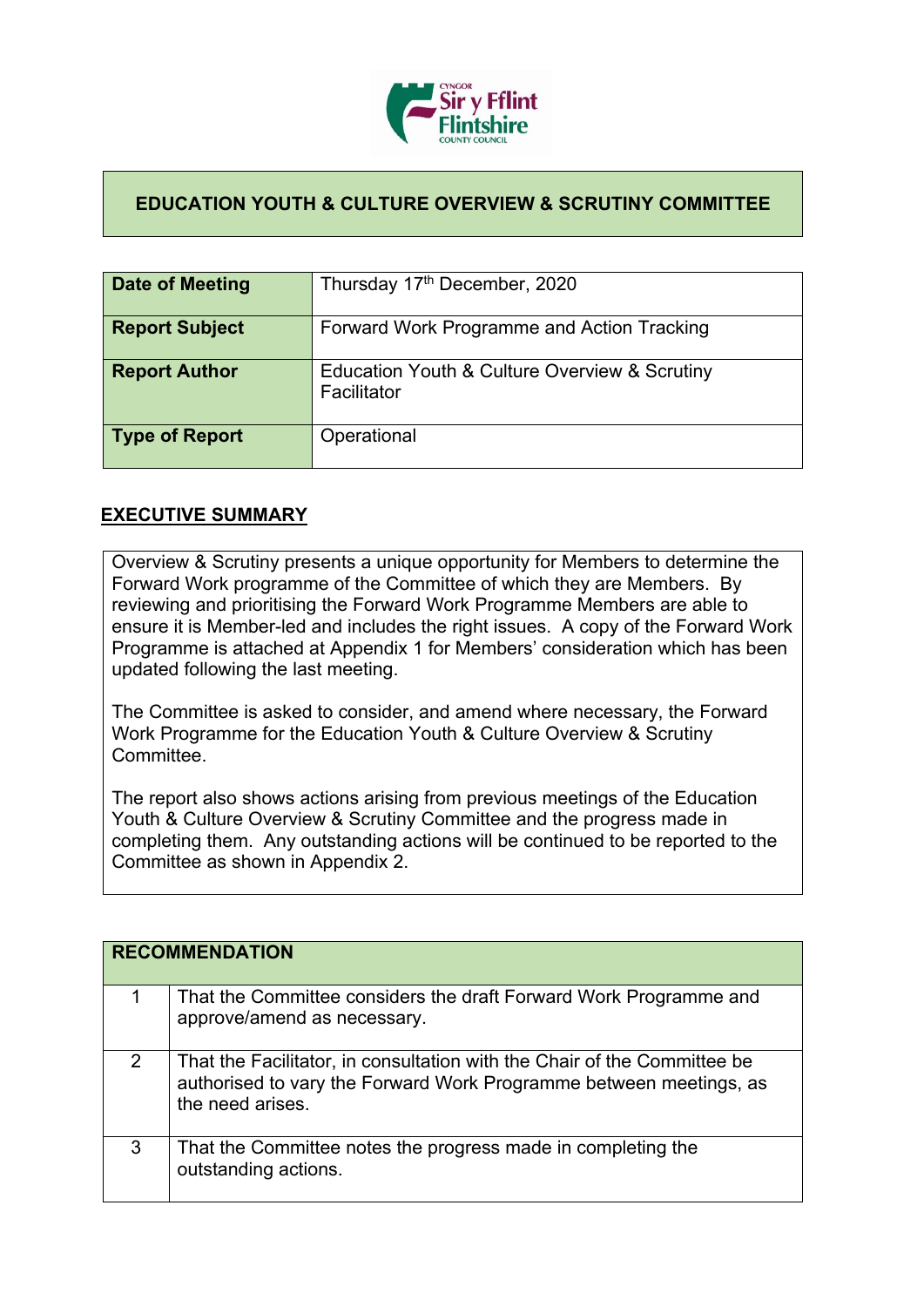

## **EDUCATION YOUTH & CULTURE OVERVIEW & SCRUTINY COMMITTEE**

| Date of Meeting       | Thursday 17th December, 2020                                 |
|-----------------------|--------------------------------------------------------------|
| <b>Report Subject</b> | Forward Work Programme and Action Tracking                   |
| <b>Report Author</b>  | Education Youth & Culture Overview & Scrutiny<br>Facilitator |
| <b>Type of Report</b> | Operational                                                  |

## **EXECUTIVE SUMMARY**

Overview & Scrutiny presents a unique opportunity for Members to determine the Forward Work programme of the Committee of which they are Members. By reviewing and prioritising the Forward Work Programme Members are able to ensure it is Member-led and includes the right issues. A copy of the Forward Work Programme is attached at Appendix 1 for Members' consideration which has been updated following the last meeting.

The Committee is asked to consider, and amend where necessary, the Forward Work Programme for the Education Youth & Culture Overview & Scrutiny **Committee.** 

The report also shows actions arising from previous meetings of the Education Youth & Culture Overview & Scrutiny Committee and the progress made in completing them. Any outstanding actions will be continued to be reported to the Committee as shown in Appendix 2.

|   | <b>RECOMMENDATION</b>                                                                                                                                              |
|---|--------------------------------------------------------------------------------------------------------------------------------------------------------------------|
|   | That the Committee considers the draft Forward Work Programme and<br>approve/amend as necessary.                                                                   |
| 2 | That the Facilitator, in consultation with the Chair of the Committee be<br>authorised to vary the Forward Work Programme between meetings, as<br>the need arises. |
| 3 | That the Committee notes the progress made in completing the<br>outstanding actions.                                                                               |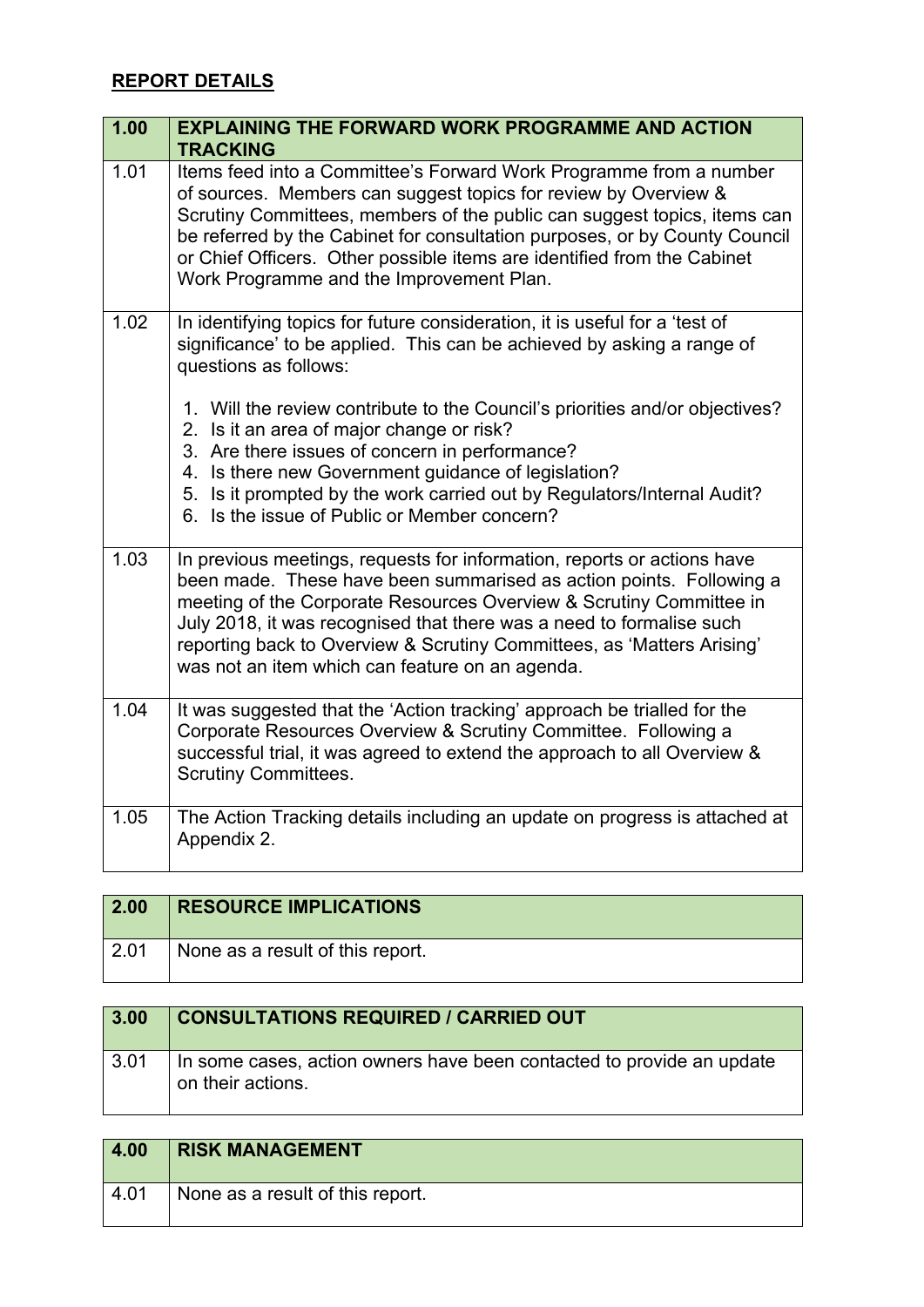## **REPORT DETAILS**

| 1.00 | <b>EXPLAINING THE FORWARD WORK PROGRAMME AND ACTION</b><br><b>TRACKING</b>                                                                                                                                                                                                                                                                                                                                                                                                                                                                      |
|------|-------------------------------------------------------------------------------------------------------------------------------------------------------------------------------------------------------------------------------------------------------------------------------------------------------------------------------------------------------------------------------------------------------------------------------------------------------------------------------------------------------------------------------------------------|
| 1.01 | Items feed into a Committee's Forward Work Programme from a number<br>of sources. Members can suggest topics for review by Overview &<br>Scrutiny Committees, members of the public can suggest topics, items can<br>be referred by the Cabinet for consultation purposes, or by County Council<br>or Chief Officers. Other possible items are identified from the Cabinet<br>Work Programme and the Improvement Plan.                                                                                                                          |
| 1.02 | In identifying topics for future consideration, it is useful for a 'test of<br>significance' to be applied. This can be achieved by asking a range of<br>questions as follows:<br>1. Will the review contribute to the Council's priorities and/or objectives?<br>2. Is it an area of major change or risk?<br>3. Are there issues of concern in performance?<br>4. Is there new Government guidance of legislation?<br>5. Is it prompted by the work carried out by Regulators/Internal Audit?<br>6. Is the issue of Public or Member concern? |
| 1.03 | In previous meetings, requests for information, reports or actions have<br>been made. These have been summarised as action points. Following a<br>meeting of the Corporate Resources Overview & Scrutiny Committee in<br>July 2018, it was recognised that there was a need to formalise such<br>reporting back to Overview & Scrutiny Committees, as 'Matters Arising'<br>was not an item which can feature on an agenda.                                                                                                                      |
| 1.04 | It was suggested that the 'Action tracking' approach be trialled for the<br>Corporate Resources Overview & Scrutiny Committee. Following a<br>successful trial, it was agreed to extend the approach to all Overview &<br><b>Scrutiny Committees.</b>                                                                                                                                                                                                                                                                                           |
| 1.05 | The Action Tracking details including an update on progress is attached at<br>Appendix 2.                                                                                                                                                                                                                                                                                                                                                                                                                                                       |

| $\vert 2.00 \vert$ | <b>RESOURCE IMPLICATIONS</b>     |
|--------------------|----------------------------------|
| $\vert 2.01$       | None as a result of this report. |

| 3.00 | <b>CONSULTATIONS REQUIRED / CARRIED OUT</b>                                                |
|------|--------------------------------------------------------------------------------------------|
| 3.01 | In some cases, action owners have been contacted to provide an update<br>on their actions. |

| 4.00 | <b>RISK MANAGEMENT</b>           |
|------|----------------------------------|
| 4.01 | None as a result of this report. |